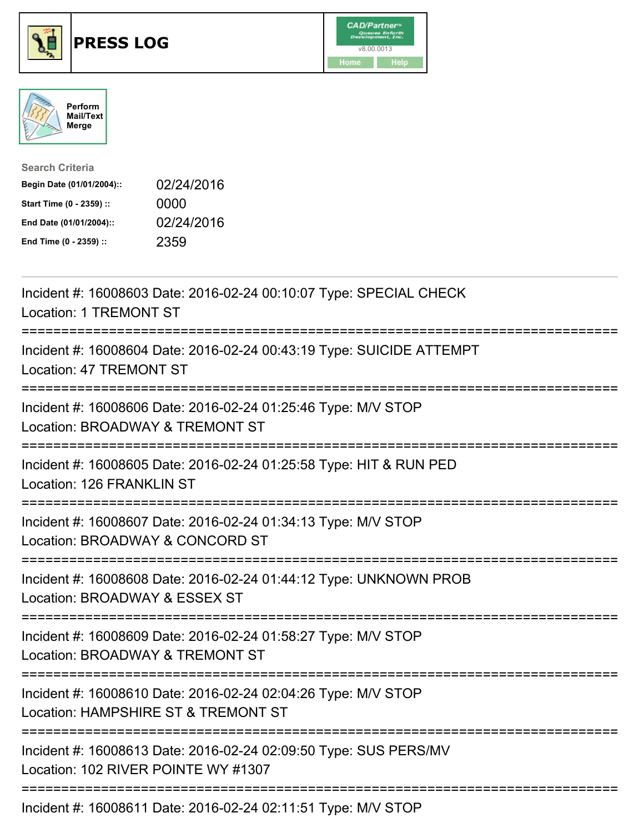





| <b>Search Criteria</b>    |            |
|---------------------------|------------|
| Begin Date (01/01/2004):: | 02/24/2016 |
| Start Time (0 - 2359) ::  | 0000       |
| End Date (01/01/2004)::   | 02/24/2016 |
| End Time (0 - 2359) ::    | 2359       |

| Incident #: 16008603 Date: 2016-02-24 00:10:07 Type: SPECIAL CHECK<br><b>Location: 1 TREMONT ST</b>                                    |
|----------------------------------------------------------------------------------------------------------------------------------------|
| Incident #: 16008604 Date: 2016-02-24 00:43:19 Type: SUICIDE ATTEMPT<br><b>Location: 47 TREMONT ST</b>                                 |
| Incident #: 16008606 Date: 2016-02-24 01:25:46 Type: M/V STOP<br>Location: BROADWAY & TREMONT ST                                       |
| Incident #: 16008605 Date: 2016-02-24 01:25:58 Type: HIT & RUN PED<br>Location: 126 FRANKLIN ST                                        |
| Incident #: 16008607 Date: 2016-02-24 01:34:13 Type: M/V STOP<br>Location: BROADWAY & CONCORD ST<br>---------------------              |
| Incident #: 16008608 Date: 2016-02-24 01:44:12 Type: UNKNOWN PROB<br>Location: BROADWAY & ESSEX ST<br>=======================          |
| Incident #: 16008609 Date: 2016-02-24 01:58:27 Type: M/V STOP<br>Location: BROADWAY & TREMONT ST<br>--------------------------         |
| Incident #: 16008610 Date: 2016-02-24 02:04:26 Type: M/V STOP<br>Location: HAMPSHIRE ST & TREMONT ST                                   |
| ===========================<br>Incident #: 16008613 Date: 2016-02-24 02:09:50 Type: SUS PERS/MV<br>Location: 102 RIVER POINTE WY #1307 |
| Incident #: 16008611 Date: 2016-02-24 02:11:51 Type: M/V STOP                                                                          |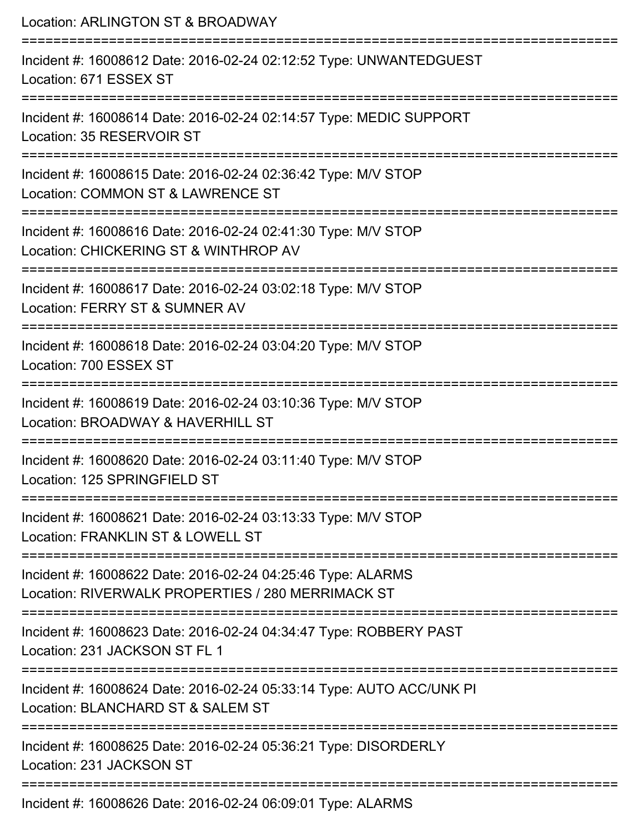Location: ARLINGTON ST & BROADWAY =========================================================================== Incident #: 16008612 Date: 2016-02-24 02:12:52 Type: UNWANTEDGUEST Location: 671 ESSEX ST =========================================================================== Incident #: 16008614 Date: 2016-02-24 02:14:57 Type: MEDIC SUPPORT Location: 35 RESERVOIR ST =========================================================================== Incident #: 16008615 Date: 2016-02-24 02:36:42 Type: M/V STOP Location: COMMON ST & LAWRENCE ST =========================================================================== Incident #: 16008616 Date: 2016-02-24 02:41:30 Type: M/V STOP Location: CHICKERING ST & WINTHROP AV =========================================================================== Incident #: 16008617 Date: 2016-02-24 03:02:18 Type: M/V STOP Location: FERRY ST & SUMNER AV =========================================================================== Incident #: 16008618 Date: 2016-02-24 03:04:20 Type: M/V STOP Location: 700 ESSEX ST =========================================================================== Incident #: 16008619 Date: 2016-02-24 03:10:36 Type: M/V STOP Location: BROADWAY & HAVERHILL ST =========================================================================== Incident #: 16008620 Date: 2016-02-24 03:11:40 Type: M/V STOP Location: 125 SPRINGFIELD ST =========================================================================== Incident #: 16008621 Date: 2016-02-24 03:13:33 Type: M/V STOP Location: FRANKLIN ST & LOWELL ST =========================================================================== Incident #: 16008622 Date: 2016-02-24 04:25:46 Type: ALARMS Location: RIVERWALK PROPERTIES / 280 MERRIMACK ST =========================================================================== Incident #: 16008623 Date: 2016-02-24 04:34:47 Type: ROBBERY PAST Location: 231 JACKSON ST FL 1 =========================================================================== Incident #: 16008624 Date: 2016-02-24 05:33:14 Type: AUTO ACC/UNK PI Location: BLANCHARD ST & SALEM ST =========================================================================== Incident #: 16008625 Date: 2016-02-24 05:36:21 Type: DISORDERLY Location: 231 JACKSON ST ===========================================================================

Incident #: 16008626 Date: 2016-02-24 06:09:01 Type: ALARMS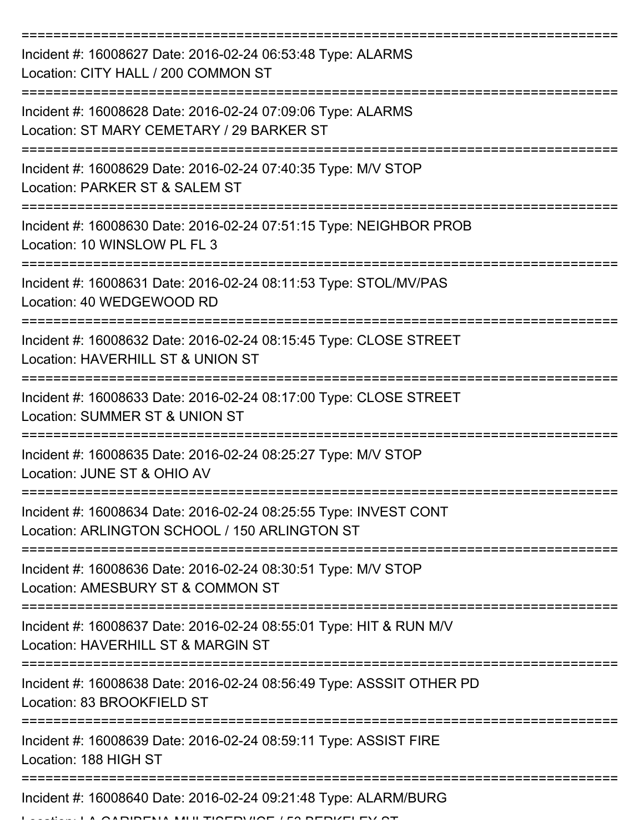| Incident #: 16008627 Date: 2016-02-24 06:53:48 Type: ALARMS<br>Location: CITY HALL / 200 COMMON ST                |
|-------------------------------------------------------------------------------------------------------------------|
| Incident #: 16008628 Date: 2016-02-24 07:09:06 Type: ALARMS<br>Location: ST MARY CEMETARY / 29 BARKER ST          |
| Incident #: 16008629 Date: 2016-02-24 07:40:35 Type: M/V STOP<br>Location: PARKER ST & SALEM ST                   |
| Incident #: 16008630 Date: 2016-02-24 07:51:15 Type: NEIGHBOR PROB<br>Location: 10 WINSLOW PL FL 3                |
| Incident #: 16008631 Date: 2016-02-24 08:11:53 Type: STOL/MV/PAS<br>Location: 40 WEDGEWOOD RD                     |
| Incident #: 16008632 Date: 2016-02-24 08:15:45 Type: CLOSE STREET<br>Location: HAVERHILL ST & UNION ST            |
| Incident #: 16008633 Date: 2016-02-24 08:17:00 Type: CLOSE STREET<br>Location: SUMMER ST & UNION ST               |
| Incident #: 16008635 Date: 2016-02-24 08:25:27 Type: M/V STOP<br>Location: JUNE ST & OHIO AV                      |
| Incident #: 16008634 Date: 2016-02-24 08:25:55 Type: INVEST CONT<br>Location: ARLINGTON SCHOOL / 150 ARLINGTON ST |
| Incident #: 16008636 Date: 2016-02-24 08:30:51 Type: M/V STOP<br>Location: AMESBURY ST & COMMON ST                |
| Incident #: 16008637 Date: 2016-02-24 08:55:01 Type: HIT & RUN M/V<br>Location: HAVERHILL ST & MARGIN ST          |
| Incident #: 16008638 Date: 2016-02-24 08:56:49 Type: ASSSIT OTHER PD<br>Location: 83 BROOKFIELD ST                |
| Incident #: 16008639 Date: 2016-02-24 08:59:11 Type: ASSIST FIRE<br>Location: 188 HIGH ST                         |
| Incident #: 16008640 Date: 2016-02-24 09:21:48 Type: ALARM/BURG<br>FUA MULTIAEDUAE LEA BEBIZELEV A                |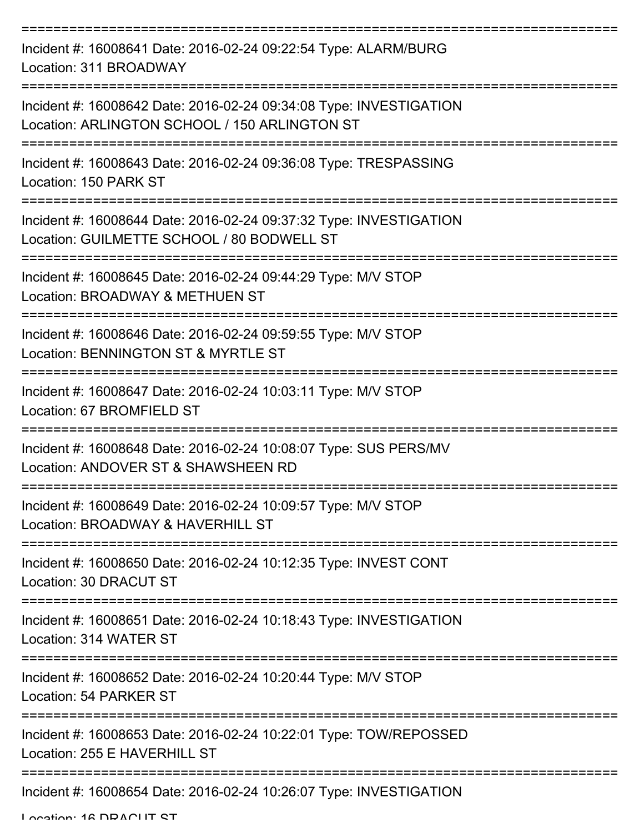| Incident #: 16008641 Date: 2016-02-24 09:22:54 Type: ALARM/BURG<br>Location: 311 BROADWAY                           |
|---------------------------------------------------------------------------------------------------------------------|
| Incident #: 16008642 Date: 2016-02-24 09:34:08 Type: INVESTIGATION<br>Location: ARLINGTON SCHOOL / 150 ARLINGTON ST |
| Incident #: 16008643 Date: 2016-02-24 09:36:08 Type: TRESPASSING<br>Location: 150 PARK ST                           |
| Incident #: 16008644 Date: 2016-02-24 09:37:32 Type: INVESTIGATION<br>Location: GUILMETTE SCHOOL / 80 BODWELL ST    |
| Incident #: 16008645 Date: 2016-02-24 09:44:29 Type: M/V STOP<br>Location: BROADWAY & METHUEN ST                    |
| Incident #: 16008646 Date: 2016-02-24 09:59:55 Type: M/V STOP<br>Location: BENNINGTON ST & MYRTLE ST                |
| Incident #: 16008647 Date: 2016-02-24 10:03:11 Type: M/V STOP<br>Location: 67 BROMFIELD ST                          |
| Incident #: 16008648 Date: 2016-02-24 10:08:07 Type: SUS PERS/MV<br>Location: ANDOVER ST & SHAWSHEEN RD             |
| Incident #: 16008649 Date: 2016-02-24 10:09:57 Type: M/V STOP<br>Location: BROADWAY & HAVERHILL ST                  |
| Incident #: 16008650 Date: 2016-02-24 10:12:35 Type: INVEST CONT<br>Location: 30 DRACUT ST                          |
| Incident #: 16008651 Date: 2016-02-24 10:18:43 Type: INVESTIGATION<br>Location: 314 WATER ST                        |
| Incident #: 16008652 Date: 2016-02-24 10:20:44 Type: M/V STOP<br>Location: 54 PARKER ST                             |
| Incident #: 16008653 Date: 2016-02-24 10:22:01 Type: TOW/REPOSSED<br>Location: 255 E HAVERHILL ST                   |
| Incident #: 16008654 Date: 2016-02-24 10:26:07 Type: INVESTIGATION                                                  |

Location: 16 DDACUT CT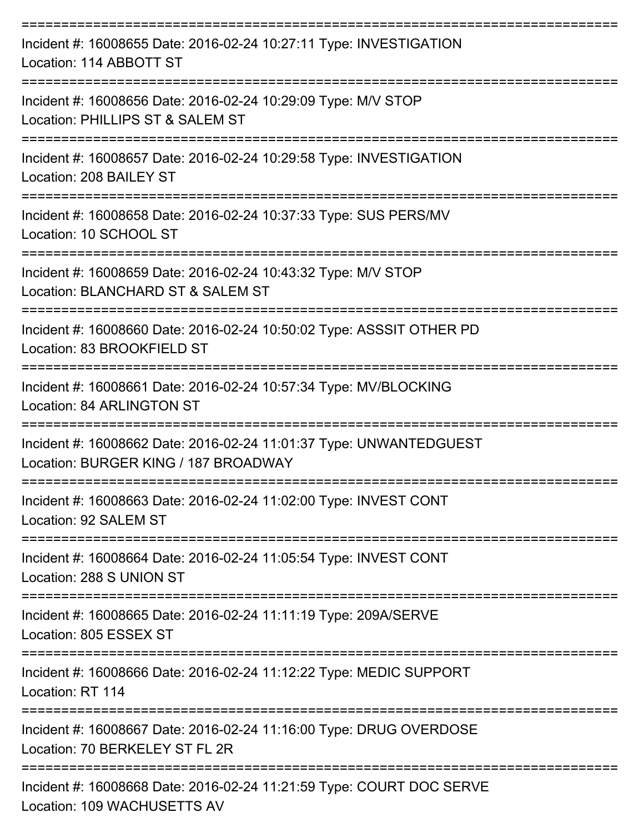| Incident #: 16008655 Date: 2016-02-24 10:27:11 Type: INVESTIGATION<br>Location: 114 ABBOTT ST                         |
|-----------------------------------------------------------------------------------------------------------------------|
| Incident #: 16008656 Date: 2016-02-24 10:29:09 Type: M/V STOP<br>Location: PHILLIPS ST & SALEM ST                     |
| Incident #: 16008657 Date: 2016-02-24 10:29:58 Type: INVESTIGATION<br>Location: 208 BAILEY ST                         |
| Incident #: 16008658 Date: 2016-02-24 10:37:33 Type: SUS PERS/MV<br>Location: 10 SCHOOL ST<br>-----------------       |
| Incident #: 16008659 Date: 2016-02-24 10:43:32 Type: M/V STOP<br>Location: BLANCHARD ST & SALEM ST                    |
| Incident #: 16008660 Date: 2016-02-24 10:50:02 Type: ASSSIT OTHER PD<br>Location: 83 BROOKFIELD ST<br>=============== |
| Incident #: 16008661 Date: 2016-02-24 10:57:34 Type: MV/BLOCKING<br><b>Location: 84 ARLINGTON ST</b>                  |
| Incident #: 16008662 Date: 2016-02-24 11:01:37 Type: UNWANTEDGUEST<br>Location: BURGER KING / 187 BROADWAY            |
| Incident #: 16008663 Date: 2016-02-24 11:02:00 Type: INVEST CONT<br>Location: 92 SALEM ST                             |
| Incident #: 16008664 Date: 2016-02-24 11:05:54 Type: INVEST CONT<br>Location: 288 S UNION ST                          |
| Incident #: 16008665 Date: 2016-02-24 11:11:19 Type: 209A/SERVE<br>Location: 805 ESSEX ST                             |
| Incident #: 16008666 Date: 2016-02-24 11:12:22 Type: MEDIC SUPPORT<br>Location: RT 114                                |
| Incident #: 16008667 Date: 2016-02-24 11:16:00 Type: DRUG OVERDOSE<br>Location: 70 BERKELEY ST FL 2R                  |
| Incident #: 16008668 Date: 2016-02-24 11:21:59 Type: COURT DOC SERVE<br>Location: 109 WACHUSETTS AV                   |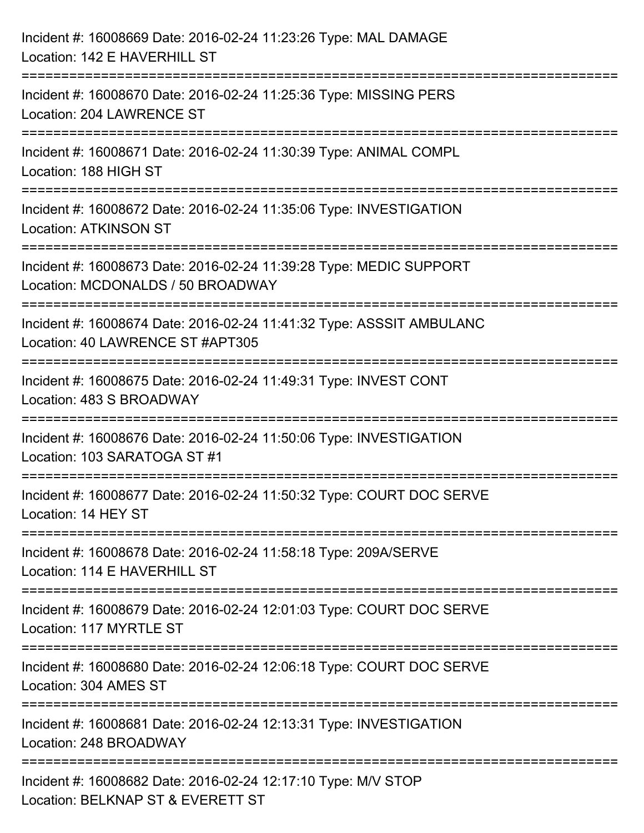| Incident #: 16008669 Date: 2016-02-24 11:23:26 Type: MAL DAMAGE<br>Location: 142 E HAVERHILL ST          |
|----------------------------------------------------------------------------------------------------------|
| Incident #: 16008670 Date: 2016-02-24 11:25:36 Type: MISSING PERS<br>Location: 204 LAWRENCE ST           |
| Incident #: 16008671 Date: 2016-02-24 11:30:39 Type: ANIMAL COMPL<br>Location: 188 HIGH ST               |
| Incident #: 16008672 Date: 2016-02-24 11:35:06 Type: INVESTIGATION<br><b>Location: ATKINSON ST</b>       |
| Incident #: 16008673 Date: 2016-02-24 11:39:28 Type: MEDIC SUPPORT<br>Location: MCDONALDS / 50 BROADWAY  |
| Incident #: 16008674 Date: 2016-02-24 11:41:32 Type: ASSSIT AMBULANC<br>Location: 40 LAWRENCE ST #APT305 |
| Incident #: 16008675 Date: 2016-02-24 11:49:31 Type: INVEST CONT<br>Location: 483 S BROADWAY             |
| Incident #: 16008676 Date: 2016-02-24 11:50:06 Type: INVESTIGATION<br>Location: 103 SARATOGA ST #1       |
| Incident #: 16008677 Date: 2016-02-24 11:50:32 Type: COURT DOC SERVE<br>Location: 14 HEY ST              |
| Incident #: 16008678 Date: 2016-02-24 11:58:18 Type: 209A/SERVE<br>Location: 114 E HAVERHILL ST          |
| Incident #: 16008679 Date: 2016-02-24 12:01:03 Type: COURT DOC SERVE<br>Location: 117 MYRTLE ST          |
| Incident #: 16008680 Date: 2016-02-24 12:06:18 Type: COURT DOC SERVE<br>Location: 304 AMES ST            |
| Incident #: 16008681 Date: 2016-02-24 12:13:31 Type: INVESTIGATION<br>Location: 248 BROADWAY             |
| Incident #: 16008682 Date: 2016-02-24 12:17:10 Type: M/V STOP<br>Location: BELKNAP ST & EVERETT ST       |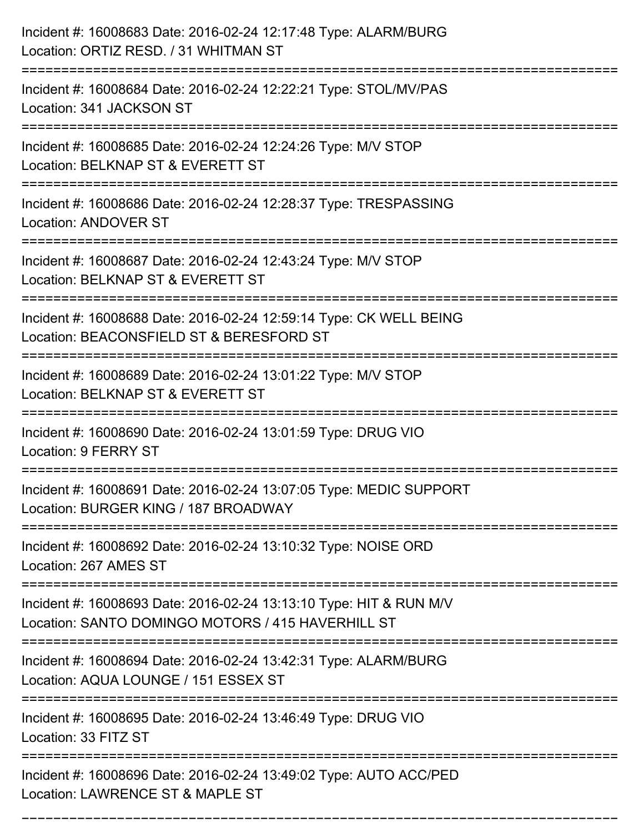| Incident #: 16008683 Date: 2016-02-24 12:17:48 Type: ALARM/BURG<br>Location: ORTIZ RESD. / 31 WHITMAN ST                                    |
|---------------------------------------------------------------------------------------------------------------------------------------------|
| Incident #: 16008684 Date: 2016-02-24 12:22:21 Type: STOL/MV/PAS<br>Location: 341 JACKSON ST                                                |
| Incident #: 16008685 Date: 2016-02-24 12:24:26 Type: M/V STOP<br>Location: BELKNAP ST & EVERETT ST<br>===================                   |
| Incident #: 16008686 Date: 2016-02-24 12:28:37 Type: TRESPASSING<br><b>Location: ANDOVER ST</b>                                             |
| Incident #: 16008687 Date: 2016-02-24 12:43:24 Type: M/V STOP<br>Location: BELKNAP ST & EVERETT ST<br>===========                           |
| Incident #: 16008688 Date: 2016-02-24 12:59:14 Type: CK WELL BEING<br>Location: BEACONSFIELD ST & BERESFORD ST<br>:======================== |
| Incident #: 16008689 Date: 2016-02-24 13:01:22 Type: M/V STOP<br>Location: BELKNAP ST & EVERETT ST                                          |
| Incident #: 16008690 Date: 2016-02-24 13:01:59 Type: DRUG VIO<br>Location: 9 FERRY ST                                                       |
| Incident #: 16008691 Date: 2016-02-24 13:07:05 Type: MEDIC SUPPORT<br>Location: BURGER KING / 187 BROADWAY                                  |
| Incident #: 16008692 Date: 2016-02-24 13:10:32 Type: NOISE ORD<br>Location: 267 AMES ST                                                     |
| Incident #: 16008693 Date: 2016-02-24 13:13:10 Type: HIT & RUN M/V<br>Location: SANTO DOMINGO MOTORS / 415 HAVERHILL ST                     |
| Incident #: 16008694 Date: 2016-02-24 13:42:31 Type: ALARM/BURG<br>Location: AQUA LOUNGE / 151 ESSEX ST                                     |
| Incident #: 16008695 Date: 2016-02-24 13:46:49 Type: DRUG VIO<br>Location: 33 FITZ ST                                                       |
| Incident #: 16008696 Date: 2016-02-24 13:49:02 Type: AUTO ACC/PED<br>Location: LAWRENCE ST & MAPLE ST                                       |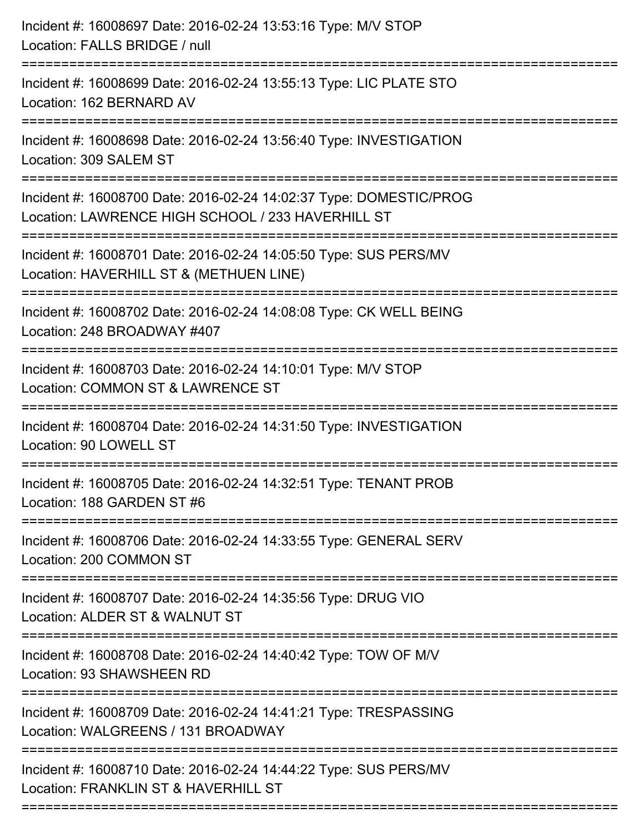| Incident #: 16008697 Date: 2016-02-24 13:53:16 Type: M/V STOP<br>Location: FALLS BRIDGE / null<br>========================                                |
|-----------------------------------------------------------------------------------------------------------------------------------------------------------|
| Incident #: 16008699 Date: 2016-02-24 13:55:13 Type: LIC PLATE STO<br>Location: 162 BERNARD AV                                                            |
| Incident #: 16008698 Date: 2016-02-24 13:56:40 Type: INVESTIGATION<br>Location: 309 SALEM ST                                                              |
| Incident #: 16008700 Date: 2016-02-24 14:02:37 Type: DOMESTIC/PROG<br>Location: LAWRENCE HIGH SCHOOL / 233 HAVERHILL ST<br>------------------------------ |
| Incident #: 16008701 Date: 2016-02-24 14:05:50 Type: SUS PERS/MV<br>Location: HAVERHILL ST & (METHUEN LINE)                                               |
| Incident #: 16008702 Date: 2016-02-24 14:08:08 Type: CK WELL BEING<br>Location: 248 BROADWAY #407<br>:===================================                 |
| Incident #: 16008703 Date: 2016-02-24 14:10:01 Type: M/V STOP<br>Location: COMMON ST & LAWRENCE ST                                                        |
| Incident #: 16008704 Date: 2016-02-24 14:31:50 Type: INVESTIGATION<br>Location: 90 LOWELL ST                                                              |
| Incident #: 16008705 Date: 2016-02-24 14:32:51 Type: TENANT PROB<br>Location: 188 GARDEN ST #6                                                            |
| Incident #: 16008706 Date: 2016-02-24 14:33:55 Type: GENERAL SERV<br>Location: 200 COMMON ST                                                              |
| Incident #: 16008707 Date: 2016-02-24 14:35:56 Type: DRUG VIO<br>Location: ALDER ST & WALNUT ST                                                           |
| :===========================<br>Incident #: 16008708 Date: 2016-02-24 14:40:42 Type: TOW OF M/V<br>Location: 93 SHAWSHEEN RD                              |
| Incident #: 16008709 Date: 2016-02-24 14:41:21 Type: TRESPASSING<br>Location: WALGREENS / 131 BROADWAY                                                    |
| Incident #: 16008710 Date: 2016-02-24 14:44:22 Type: SUS PERS/MV<br>Location: FRANKLIN ST & HAVERHILL ST                                                  |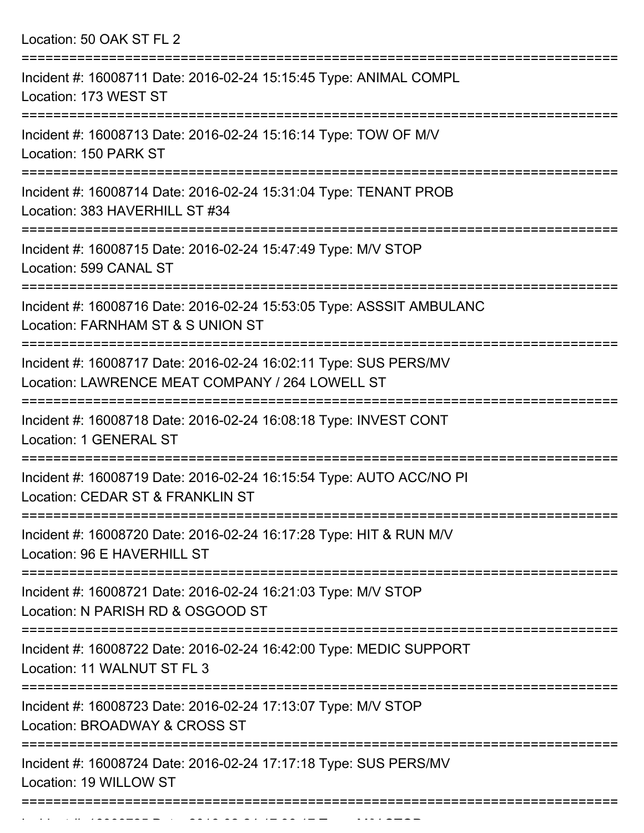Location: 50 OAK ST FL 2

| Incident #: 16008711 Date: 2016-02-24 15:15:45 Type: ANIMAL COMPL<br>Location: 173 WEST ST                             |
|------------------------------------------------------------------------------------------------------------------------|
| Incident #: 16008713 Date: 2016-02-24 15:16:14 Type: TOW OF M/V<br>Location: 150 PARK ST                               |
| Incident #: 16008714 Date: 2016-02-24 15:31:04 Type: TENANT PROB<br>Location: 383 HAVERHILL ST #34                     |
| Incident #: 16008715 Date: 2016-02-24 15:47:49 Type: M/V STOP<br>Location: 599 CANAL ST                                |
| Incident #: 16008716 Date: 2016-02-24 15:53:05 Type: ASSSIT AMBULANC<br>Location: FARNHAM ST & S UNION ST              |
| Incident #: 16008717 Date: 2016-02-24 16:02:11 Type: SUS PERS/MV<br>Location: LAWRENCE MEAT COMPANY / 264 LOWELL ST    |
| Incident #: 16008718 Date: 2016-02-24 16:08:18 Type: INVEST CONT<br>Location: 1 GENERAL ST                             |
| Incident #: 16008719 Date: 2016-02-24 16:15:54 Type: AUTO ACC/NO PI<br>Location: CEDAR ST & FRANKLIN ST                |
| =================<br>Incident #: 16008720 Date: 2016-02-24 16:17:28 Type: HIT & RUN M/V<br>Location: 96 E HAVERHILL ST |
| Incident #: 16008721 Date: 2016-02-24 16:21:03 Type: M/V STOP<br>Location: N PARISH RD & OSGOOD ST                     |
| Incident #: 16008722 Date: 2016-02-24 16:42:00 Type: MEDIC SUPPORT<br>Location: 11 WALNUT ST FL 3                      |
| Incident #: 16008723 Date: 2016-02-24 17:13:07 Type: M/V STOP<br>Location: BROADWAY & CROSS ST                         |
| Incident #: 16008724 Date: 2016-02-24 17:17:18 Type: SUS PERS/MV<br>Location: 19 WILLOW ST                             |
|                                                                                                                        |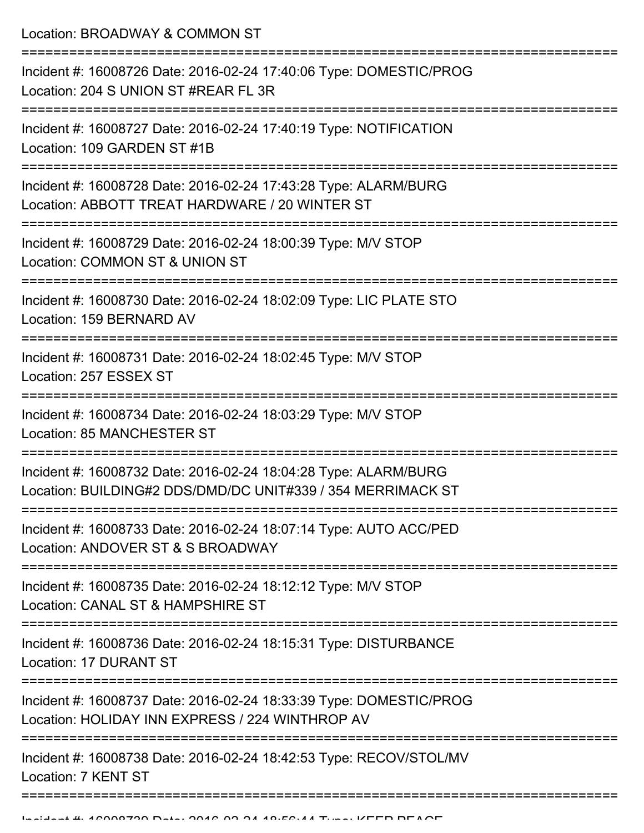Location: BROADWAY & COMMON ST

| Incident #: 16008726 Date: 2016-02-24 17:40:06 Type: DOMESTIC/PROG<br>Location: 204 S UNION ST #REAR FL 3R                     |
|--------------------------------------------------------------------------------------------------------------------------------|
| Incident #: 16008727 Date: 2016-02-24 17:40:19 Type: NOTIFICATION<br>Location: 109 GARDEN ST #1B                               |
| Incident #: 16008728 Date: 2016-02-24 17:43:28 Type: ALARM/BURG<br>Location: ABBOTT TREAT HARDWARE / 20 WINTER ST              |
| Incident #: 16008729 Date: 2016-02-24 18:00:39 Type: M/V STOP<br>Location: COMMON ST & UNION ST                                |
| Incident #: 16008730 Date: 2016-02-24 18:02:09 Type: LIC PLATE STO<br>Location: 159 BERNARD AV                                 |
| Incident #: 16008731 Date: 2016-02-24 18:02:45 Type: M/V STOP<br>Location: 257 ESSEX ST                                        |
| Incident #: 16008734 Date: 2016-02-24 18:03:29 Type: M/V STOP<br><b>Location: 85 MANCHESTER ST</b>                             |
| Incident #: 16008732 Date: 2016-02-24 18:04:28 Type: ALARM/BURG<br>Location: BUILDING#2 DDS/DMD/DC UNIT#339 / 354 MERRIMACK ST |
| Incident #: 16008733 Date: 2016-02-24 18:07:14 Type: AUTO ACC/PED<br>Location: ANDOVER ST & S BROADWAY                         |
| Incident #: 16008735 Date: 2016-02-24 18:12:12 Type: M/V STOP<br>Location: CANAL ST & HAMPSHIRE ST                             |
| Incident #: 16008736 Date: 2016-02-24 18:15:31 Type: DISTURBANCE<br>Location: 17 DURANT ST                                     |
| Incident #: 16008737 Date: 2016-02-24 18:33:39 Type: DOMESTIC/PROG<br>Location: HOLIDAY INN EXPRESS / 224 WINTHROP AV          |
| Incident #: 16008738 Date: 2016-02-24 18:42:53 Type: RECOV/STOL/MV<br>Location: 7 KENT ST                                      |
|                                                                                                                                |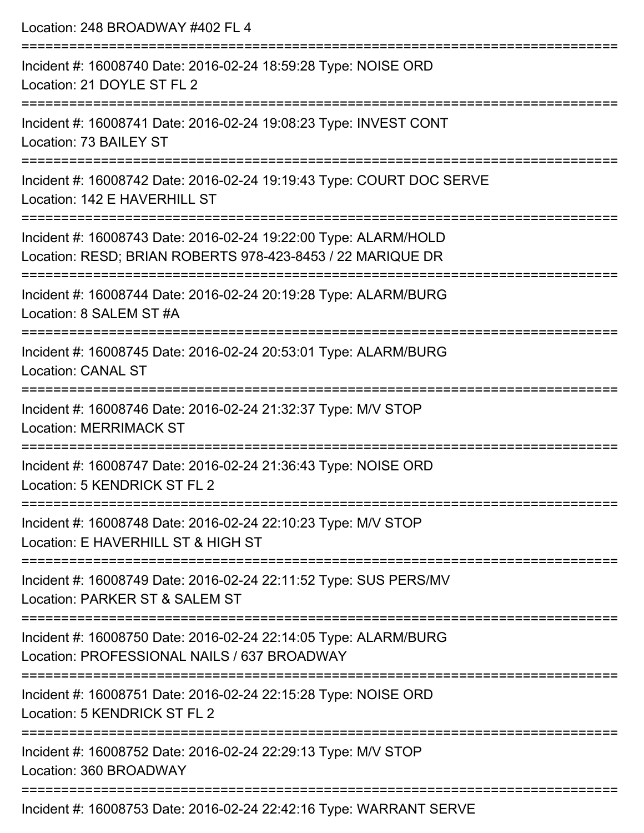| Location: 248 BROADWAY #402 FL 4                                                                                              |
|-------------------------------------------------------------------------------------------------------------------------------|
| Incident #: 16008740 Date: 2016-02-24 18:59:28 Type: NOISE ORD<br>Location: 21 DOYLE ST FL 2                                  |
| Incident #: 16008741 Date: 2016-02-24 19:08:23 Type: INVEST CONT<br>Location: 73 BAILEY ST                                    |
| Incident #: 16008742 Date: 2016-02-24 19:19:43 Type: COURT DOC SERVE<br>Location: 142 E HAVERHILL ST                          |
| Incident #: 16008743 Date: 2016-02-24 19:22:00 Type: ALARM/HOLD<br>Location: RESD; BRIAN ROBERTS 978-423-8453 / 22 MARIQUE DR |
| Incident #: 16008744 Date: 2016-02-24 20:19:28 Type: ALARM/BURG<br>Location: 8 SALEM ST #A                                    |
| Incident #: 16008745 Date: 2016-02-24 20:53:01 Type: ALARM/BURG<br><b>Location: CANAL ST</b>                                  |
| Incident #: 16008746 Date: 2016-02-24 21:32:37 Type: M/V STOP<br><b>Location: MERRIMACK ST</b>                                |
| Incident #: 16008747 Date: 2016-02-24 21:36:43 Type: NOISE ORD<br>Location: 5 KENDRICK ST FL 2                                |
| Incident #: 16008748 Date: 2016-02-24 22:10:23 Type: M/V STOP<br>Location: E HAVERHILL ST & HIGH ST                           |
| Incident #: 16008749 Date: 2016-02-24 22:11:52 Type: SUS PERS/MV<br>Location: PARKER ST & SALEM ST                            |
| Incident #: 16008750 Date: 2016-02-24 22:14:05 Type: ALARM/BURG<br>Location: PROFESSIONAL NAILS / 637 BROADWAY                |
| Incident #: 16008751 Date: 2016-02-24 22:15:28 Type: NOISE ORD<br>Location: 5 KENDRICK ST FL 2                                |
| Incident #: 16008752 Date: 2016-02-24 22:29:13 Type: M/V STOP<br>Location: 360 BROADWAY                                       |
|                                                                                                                               |

Incident #: 16008753 Date: 2016-02-24 22:42:16 Type: WARRANT SERVE